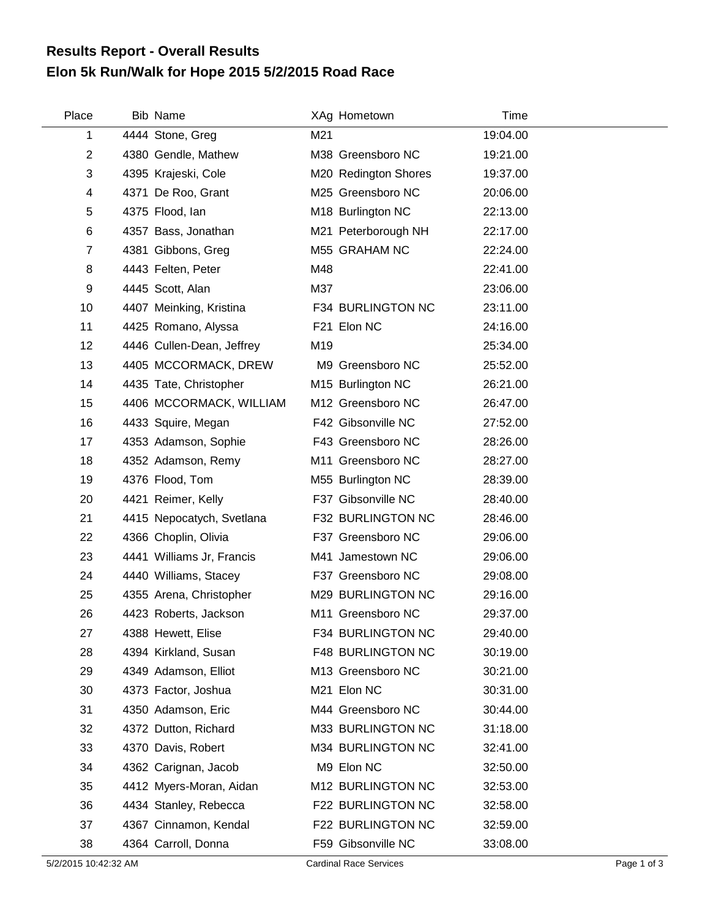## **Elon 5k Run/Walk for Hope 2015 5/2/2015 Road Race Results Report - Overall Results**

| Place          | Bib Name                  |     | XAg Hometown         | Time     |
|----------------|---------------------------|-----|----------------------|----------|
| 1              | 4444 Stone, Greg          | M21 |                      | 19:04.00 |
| $\overline{2}$ | 4380 Gendle, Mathew       |     | M38 Greensboro NC    | 19:21.00 |
| 3              | 4395 Krajeski, Cole       |     | M20 Redington Shores | 19:37.00 |
| 4              | 4371 De Roo, Grant        |     | M25 Greensboro NC    | 20:06.00 |
| 5              | 4375 Flood, lan           |     | M18 Burlington NC    | 22:13.00 |
| 6              | 4357 Bass, Jonathan       |     | M21 Peterborough NH  | 22:17.00 |
| $\overline{7}$ | 4381 Gibbons, Greg        |     | M55 GRAHAM NC        | 22:24.00 |
| 8              | 4443 Felten, Peter        | M48 |                      | 22:41.00 |
| 9              | 4445 Scott, Alan          | M37 |                      | 23:06.00 |
| 10             | 4407 Meinking, Kristina   |     | F34 BURLINGTON NC    | 23:11.00 |
| 11             | 4425 Romano, Alyssa       |     | F21 Elon NC          | 24:16.00 |
| 12             | 4446 Cullen-Dean, Jeffrey | M19 |                      | 25:34.00 |
| 13             | 4405 MCCORMACK, DREW      |     | M9 Greensboro NC     | 25:52.00 |
| 14             | 4435 Tate, Christopher    |     | M15 Burlington NC    | 26:21.00 |
| 15             | 4406 MCCORMACK, WILLIAM   |     | M12 Greensboro NC    | 26:47.00 |
| 16             | 4433 Squire, Megan        |     | F42 Gibsonville NC   | 27:52.00 |
| 17             | 4353 Adamson, Sophie      |     | F43 Greensboro NC    | 28:26.00 |
| 18             | 4352 Adamson, Remy        |     | M11 Greensboro NC    | 28:27.00 |
| 19             | 4376 Flood, Tom           |     | M55 Burlington NC    | 28:39.00 |
| 20             | 4421 Reimer, Kelly        |     | F37 Gibsonville NC   | 28:40.00 |
| 21             | 4415 Nepocatych, Svetlana |     | F32 BURLINGTON NC    | 28:46.00 |
| 22             | 4366 Choplin, Olivia      |     | F37 Greensboro NC    | 29:06.00 |
| 23             | 4441 Williams Jr, Francis |     | M41 Jamestown NC     | 29:06.00 |
| 24             | 4440 Williams, Stacey     |     | F37 Greensboro NC    | 29:08.00 |
| 25             | 4355 Arena, Christopher   |     | M29 BURLINGTON NC    | 29:16.00 |
| 26             | 4423 Roberts, Jackson     |     | M11 Greensboro NC    | 29:37.00 |
| 27             | 4388 Hewett, Elise        |     | F34 BURLINGTON NC    | 29:40.00 |
| 28             | 4394 Kirkland, Susan      |     | F48 BURLINGTON NC    | 30:19.00 |
| 29             | 4349 Adamson, Elliot      |     | M13 Greensboro NC    | 30:21.00 |
| 30             | 4373 Factor, Joshua       |     | M21 Elon NC          | 30:31.00 |
| 31             | 4350 Adamson, Eric        |     | M44 Greensboro NC    | 30:44.00 |
| 32             | 4372 Dutton, Richard      |     | M33 BURLINGTON NC    | 31:18.00 |
| 33             | 4370 Davis, Robert        |     | M34 BURLINGTON NC    | 32:41.00 |
| 34             | 4362 Carignan, Jacob      |     | M9 Elon NC           | 32:50.00 |
| 35             | 4412 Myers-Moran, Aidan   |     | M12 BURLINGTON NC    | 32:53.00 |
| 36             | 4434 Stanley, Rebecca     |     | F22 BURLINGTON NC    | 32:58.00 |
| 37             | 4367 Cinnamon, Kendal     |     | F22 BURLINGTON NC    | 32:59.00 |
| 38             | 4364 Carroll, Donna       |     | F59 Gibsonville NC   | 33:08.00 |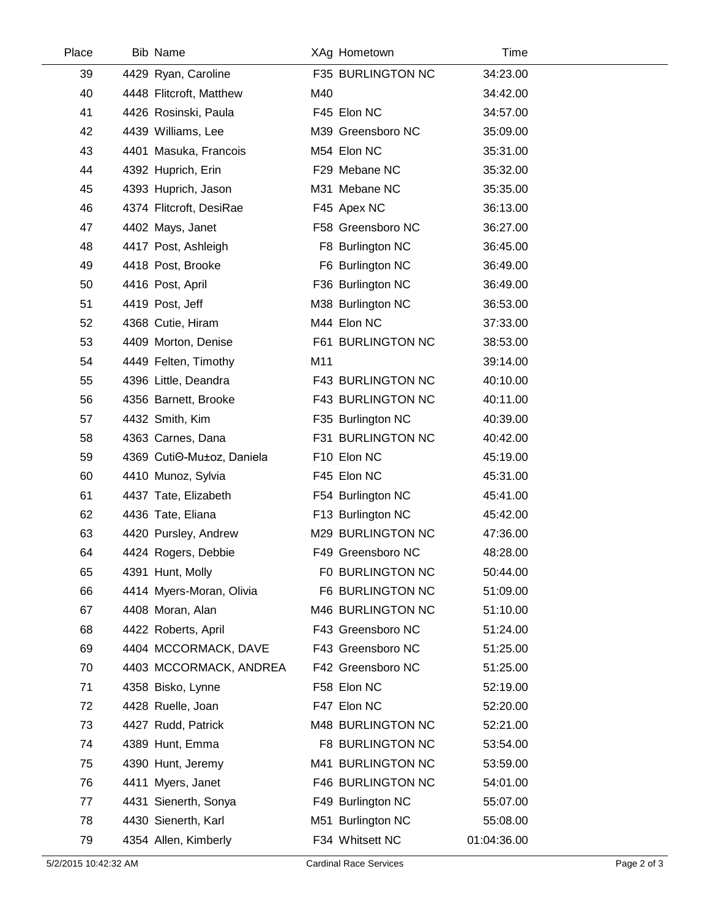| Place | <b>Bib Name</b>           |     | XAg Hometown      | Time        |  |
|-------|---------------------------|-----|-------------------|-------------|--|
| 39    | 4429 Ryan, Caroline       |     | F35 BURLINGTON NC | 34:23.00    |  |
| 40    | 4448 Flitcroft, Matthew   | M40 |                   | 34:42.00    |  |
| 41    | 4426 Rosinski, Paula      |     | F45 Elon NC       | 34:57.00    |  |
| 42    | 4439 Williams, Lee        |     | M39 Greensboro NC | 35:09.00    |  |
| 43    | 4401 Masuka, Francois     |     | M54 Elon NC       | 35:31.00    |  |
| 44    | 4392 Huprich, Erin        |     | F29 Mebane NC     | 35:32.00    |  |
| 45    | 4393 Huprich, Jason       |     | M31 Mebane NC     | 35:35.00    |  |
| 46    | 4374 Flitcroft, DesiRae   |     | F45 Apex NC       | 36:13.00    |  |
| 47    | 4402 Mays, Janet          |     | F58 Greensboro NC | 36:27.00    |  |
| 48    | 4417 Post, Ashleigh       |     | F8 Burlington NC  | 36:45.00    |  |
| 49    | 4418 Post, Brooke         |     | F6 Burlington NC  | 36:49.00    |  |
| 50    | 4416 Post, April          |     | F36 Burlington NC | 36:49.00    |  |
| 51    | 4419 Post, Jeff           |     | M38 Burlington NC | 36:53.00    |  |
| 52    | 4368 Cutie, Hiram         |     | M44 Elon NC       | 37:33.00    |  |
| 53    | 4409 Morton, Denise       |     | F61 BURLINGTON NC | 38:53.00    |  |
| 54    | 4449 Felten, Timothy      | M11 |                   | 39:14.00    |  |
| 55    | 4396 Little, Deandra      |     | F43 BURLINGTON NC | 40:10.00    |  |
| 56    | 4356 Barnett, Brooke      |     | F43 BURLINGTON NC | 40:11.00    |  |
| 57    | 4432 Smith, Kim           |     | F35 Burlington NC | 40:39.00    |  |
| 58    | 4363 Carnes, Dana         |     | F31 BURLINGTON NC | 40:42.00    |  |
| 59    | 4369 CutiO-Mu±oz, Daniela |     | F10 Elon NC       | 45:19.00    |  |
| 60    | 4410 Munoz, Sylvia        |     | F45 Elon NC       | 45:31.00    |  |
| 61    | 4437 Tate, Elizabeth      |     | F54 Burlington NC | 45:41.00    |  |
| 62    | 4436 Tate, Eliana         |     | F13 Burlington NC | 45:42.00    |  |
| 63    | 4420 Pursley, Andrew      |     | M29 BURLINGTON NC | 47:36.00    |  |
| 64    | 4424 Rogers, Debbie       |     | F49 Greensboro NC | 48:28.00    |  |
| 65    | 4391 Hunt, Molly          |     | F0 BURLINGTON NC  | 50:44.00    |  |
| 66    | 4414 Myers-Moran, Olivia  |     | F6 BURLINGTON NC  | 51:09.00    |  |
| 67    | 4408 Moran, Alan          |     | M46 BURLINGTON NC | 51:10.00    |  |
| 68    | 4422 Roberts, April       |     | F43 Greensboro NC | 51:24.00    |  |
| 69    | 4404 MCCORMACK, DAVE      |     | F43 Greensboro NC | 51:25.00    |  |
| 70    | 4403 MCCORMACK, ANDREA    |     | F42 Greensboro NC | 51:25.00    |  |
| 71    | 4358 Bisko, Lynne         |     | F58 Elon NC       | 52:19.00    |  |
| 72    | 4428 Ruelle, Joan         |     | F47 Elon NC       | 52:20.00    |  |
| 73    | 4427 Rudd, Patrick        |     | M48 BURLINGTON NC | 52:21.00    |  |
| 74    | 4389 Hunt, Emma           |     | F8 BURLINGTON NC  | 53:54.00    |  |
| 75    | 4390 Hunt, Jeremy         |     | M41 BURLINGTON NC | 53:59.00    |  |
| 76    | 4411 Myers, Janet         |     | F46 BURLINGTON NC | 54:01.00    |  |
| 77    | 4431 Sienerth, Sonya      |     | F49 Burlington NC | 55:07.00    |  |
| 78    | 4430 Sienerth, Karl       |     | M51 Burlington NC | 55:08.00    |  |
| 79    | 4354 Allen, Kimberly      |     | F34 Whitsett NC   | 01:04:36.00 |  |